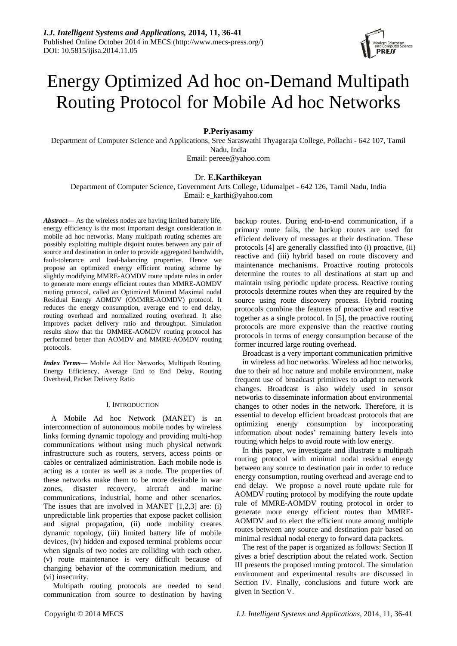

# Energy Optimized Ad hoc on-Demand Multipath Routing Protocol for Mobile Ad hoc Networks

# **P.Periyasamy**

Department of Computer Science and Applications, Sree Saraswathi Thyagaraja College, Pollachi - 642 107, Tamil Nadu, India

Email: pereee@yahoo.com

## Dr. **E.Karthikeyan**

Department of Computer Science, Government Arts College, Udumalpet - 642 126, Tamil Nadu, India Email: e\_karthi@yahoo.com

*Abstract***—** As the wireless nodes are having limited battery life, energy efficiency is the most important design consideration in mobile ad hoc networks. Many multipath routing schemes are possibly exploiting multiple disjoint routes between any pair of source and destination in order to provide aggregated bandwidth, fault-tolerance and load-balancing properties. Hence we propose an optimized energy efficient routing scheme by slightly modifying MMRE-AOMDV route update rules in order to generate more energy efficient routes than MMRE-AOMDV routing protocol, called an Optimized Minimal Maximal nodal Residual Energy AOMDV (OMMRE-AOMDV) protocol. It reduces the energy consumption, average end to end delay, routing overhead and normalized routing overhead. It also improves packet delivery ratio and throughput. Simulation results show that the OMMRE-AOMDV routing protocol has performed better than AOMDV and MMRE-AOMDV routing protocols.

*Index Terms***—** Mobile Ad Hoc Networks, Multipath Routing, Energy Efficiency, Average End to End Delay, Routing Overhead, Packet Delivery Ratio

## I. INTRODUCTION

A Mobile Ad hoc Network (MANET) is an interconnection of autonomous mobile nodes by wireless links forming dynamic topology and providing multi-hop communications without using much physical network infrastructure such as routers, servers, access points or cables or centralized administration. Each mobile node is acting as a router as well as a node. The properties of these networks make them to be more desirable in war zones, disaster recovery, aircraft and marine communications, industrial, home and other scenarios. The issues that are involved in MANET [1,2,3] are: (i) unpredictable link properties that expose packet collision and signal propagation, (ii) node mobility creates dynamic topology, (iii) limited battery life of mobile devices, (iv) hidden and exposed terminal problems occur when signals of two nodes are colliding with each other. (v) route maintenance is very difficult because of changing behavior of the communication medium, and (vi) insecurity.

Multipath routing protocols are needed to send communication from source to destination by having backup routes. During end-to-end communication, if a primary route fails, the backup routes are used for efficient delivery of messages at their destination. These protocols [4] are generally classified into (i) proactive, (ii) reactive and (iii) hybrid based on route discovery and maintenance mechanisms. Proactive routing protocols determine the routes to all destinations at start up and maintain using periodic update process. Reactive routing protocols determine routes when they are required by the source using route discovery process. Hybrid routing protocols combine the features of proactive and reactive together as a single protocol. In [5], the proactive routing protocols are more expensive than the reactive routing protocols in terms of energy consumption because of the former incurred large routing overhead.

Broadcast is a very important communication primitive

in wireless ad hoc networks. Wireless ad hoc networks, due to their ad hoc nature and mobile environment, make frequent use of broadcast primitives to adapt to network changes. Broadcast is also widely used in sensor networks to disseminate information about environmental changes to other nodes in the network. Therefore, it is essential to develop efficient broadcast protocols that are optimizing energy consumption by incorporating information about nodes' remaining battery levels into routing which helps to avoid route with low energy.

In this paper, we investigate and illustrate a multipath routing protocol with minimal nodal residual energy between any source to destination pair in order to reduce energy consumption, routing overhead and average end to end delay. We propose a novel route update rule for AOMDV routing protocol by modifying the route update rule of MMRE-AOMDV routing protocol in order to generate more energy efficient routes than MMRE-AOMDV and to elect the efficient route among multiple routes between any source and destination pair based on minimal residual nodal energy to forward data packets.

The rest of the paper is organized as follows: Section II gives a brief description about the related work. Section III presents the proposed routing protocol. The simulation environment and experimental results are discussed in Section IV. Finally, conclusions and future work are given in Section V.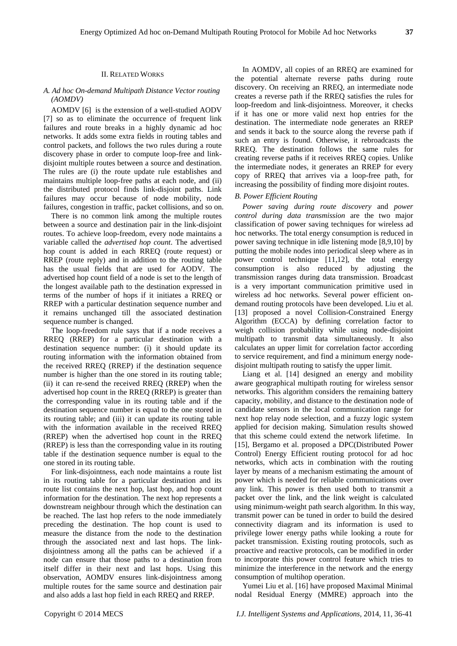#### II. RELATED WORKS

## *A. Ad hoc On-demand Multipath Distance Vector routing (AOMDV)*

AOMDV [6] is the extension of a well-studied AODV [7] so as to eliminate the occurrence of frequent link failures and route breaks in a highly dynamic ad hoc networks. It adds some extra fields in routing tables and control packets, and follows the two rules during a route discovery phase in order to compute loop-free and linkdisjoint multiple routes between a source and destination. The rules are (i) the route update rule establishes and maintains multiple loop-free paths at each node, and (ii) the distributed protocol finds link-disjoint paths. Link failures may occur because of node mobility, node failures, congestion in traffic, packet collisions, and so on.

There is no common link among the multiple routes between a source and destination pair in the link-disjoint routes. To achieve loop-freedom, every node maintains a variable called the *advertised hop count*. The advertised hop count is added in each RREQ (route request) or RREP (route reply) and in addition to the routing table has the usual fields that are used for AODV. The advertised hop count field of a node is set to the length of the longest available path to the destination expressed in terms of the number of hops if it initiates a RREQ or RREP with a particular destination sequence number and it remains unchanged till the associated destination sequence number is changed.

The loop-freedom rule says that if a node receives a RREQ (RREP) for a particular destination with a destination sequence number: (i) it should update its routing information with the information obtained from the received RREQ (RREP) if the destination sequence number is higher than the one stored in its routing table; (ii) it can re-send the received RREQ (RREP) when the advertised hop count in the RREQ (RREP) is greater than the corresponding value in its routing table and if the destination sequence number is equal to the one stored in its routing table; and (iii) it can update its routing table with the information available in the received RREQ (RREP) when the advertised hop count in the RREQ (RREP) is less than the corresponding value in its routing table if the destination sequence number is equal to the one stored in its routing table.

For link-disjointness, each node maintains a route list in its routing table for a particular destination and its route list contains the next hop, last hop, and hop count information for the destination. The next hop represents a downstream neighbour through which the destination can be reached. The last hop refers to the node immediately preceding the destination. The hop count is used to measure the distance from the node to the destination through the associated next and last hops. The linkdisjointness among all the paths can be achieved if a node can ensure that those paths to a destination from itself differ in their next and last hops. Using this observation, AOMDV ensures link-disjointness among multiple routes for the same source and destination pair and also adds a last hop field in each RREQ and RREP.

In AOMDV, all copies of an RREQ are examined for the potential alternate reverse paths during route discovery. On receiving an RREQ, an intermediate node creates a reverse path if the RREQ satisfies the rules for loop-freedom and link-disjointness. Moreover, it checks if it has one or more valid next hop entries for the destination. The intermediate node generates an RREP and sends it back to the source along the reverse path if such an entry is found. Otherwise, it rebroadcasts the RREQ. The destination follows the same rules for creating reverse paths if it receives RREQ copies. Unlike the intermediate nodes, it generates an RREP for every copy of RREQ that arrives via a loop-free path, for increasing the possibility of finding more disjoint routes.

## *B. Power Efficient Routing*

*Power saving during route discovery* and *power control during data transmission* are the two major classification of power saving techniques for wireless ad hoc networks. The total energy consumption is reduced in power saving technique in idle listening mode [8,9,10] by putting the mobile nodes into periodical sleep where as in power control technique [11,12], the total energy consumption is also reduced by adjusting the transmission ranges during data transmission. Broadcast is a very important communication primitive used in wireless ad hoc networks. Several power efficient ondemand routing protocols have been developed. Liu et al. [13] proposed a novel Collision-Constrained Energy Algorithm (ECCA) by defining correlation factor to weigh collision probability while using node-disjoint multipath to transmit data simultaneously. It also calculates an upper limit for correlation factor according to service requirement, and find a minimum energy nodedisjoint multipath routing to satisfy the upper limit.

Liang et al. [14] designed an energy and mobility aware geographical multipath routing for wireless sensor networks. This algorithm considers the remaining battery capacity, mobility, and distance to the destination node of candidate sensors in the local communication range for next hop relay node selection, and a fuzzy logic system applied for decision making. Simulation results showed that this scheme could extend the network lifetime. In [15], Bergamo et al. proposed a DPC(Distributed Power Control) Energy Efficient routing protocol for ad hoc networks, which acts in combination with the routing layer by means of a mechanism estimating the amount of power which is needed for reliable communications over any link. This power is then used both to transmit a packet over the link, and the link weight is calculated using minimum-weight path search algorithm. In this way, transmit power can be tuned in order to build the desired connectivity diagram and its information is used to privilege lower energy paths while looking a route for packet transmission. Existing routing protocols, such as proactive and reactive protocols, can be modified in order to incorporate this power control feature which tries to minimize the interference in the network and the energy consumption of multihop operation.

Yumei Liu et al. [16] have proposed Maximal Minimal nodal Residual Energy (MMRE) approach into the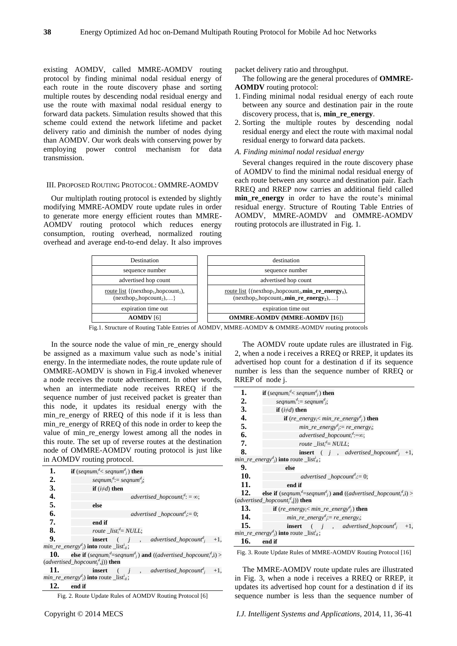existing AOMDV, called MMRE-AOMDV routing protocol by finding minimal nodal residual energy of each route in the route discovery phase and sorting multiple routes by descending nodal residual energy and use the route with maximal nodal residual energy to forward data packets. Simulation results showed that this scheme could extend the network lifetime and packet delivery ratio and diminish the number of nodes dying than AOMDV. Our work deals with conserving power by employing power control mechanism for data transmission.

#### III. PROPOSED ROUTING PROTOCOL: OMMRE-AOMDV

Our multiplath routing protocol is extended by slightly modifying MMRE-AOMDV route update rules in order to generate more energy efficient routes than MMRE-AOMDV routing protocol which reduces energy consumption, routing overhead, normalized routing overhead and average end-to-end delay. It also improves packet delivery ratio and throughput.

The following are the general procedures of **OMMRE-AOMDV** routing protocol:

- 1. Finding minimal nodal residual energy of each route between any source and destination pair in the route discovery process, that is, **min\_re\_energy**.
- 2. Sorting the multiple routes by descending nodal residual energy and elect the route with maximal nodal residual energy to forward data packets.

#### *A. Finding minimal nodal residual energy*

Several changes required in the route discovery phase of AOMDV to find the minimal nodal residual energy of each route between any source and destination pair. Each RREQ and RREP now carries an additional field called **min** re energy in order to have the route's minimal residual energy. Structure of Routing Table Entries of AOMDV, MMRE-AOMDV and OMMRE-AOMDV routing protocols are illustrated in Fig. 1.



Fig.1. Structure of Routing Table Entries of AOMDV, MMRE-AOMDV & OMMRE-AOMDV routing protocols

In the source node the value of min re energy should be assigned as a maximum value such as node's initial energy. In the intermediate nodes, the route update rule of OMMRE-AOMDV is shown in Fig.4 invoked whenever a node receives the route advertisement. In other words, when an intermediate node receives RREQ if the sequence number of just received packet is greater than this node, it updates its residual energy with the min\_re\_energy of RREQ of this node if it is less than min\_re\_energy of RREQ of this node in order to keep the value of min re energy lowest among all the nodes in this route. The set up of reverse routes at the destination node of OMMRE-AOMDV routing protocol is just like in AOMDV routing protocol.

| 1.                                                                                                 | <b>if</b> (seqnum <sup>d</sup> < seqnum <sup>d</sup> <sub>i</sub> ) <b>then</b>                       |  |  |  |
|----------------------------------------------------------------------------------------------------|-------------------------------------------------------------------------------------------------------|--|--|--|
| 2.                                                                                                 | seqnum <sub>i</sub> <sup>d</sup> := seqnum <sup>d</sup> ;                                             |  |  |  |
| 3.                                                                                                 | if $(i \neq d)$ then                                                                                  |  |  |  |
| 4.                                                                                                 | advertised_hopcount; <sup>d</sup> : = $\infty$ ;                                                      |  |  |  |
| 5.                                                                                                 | else                                                                                                  |  |  |  |
| 6.                                                                                                 | advertised _hopcount <sup>d</sup> <sub>i</sub> := 0;                                                  |  |  |  |
| 7.                                                                                                 | end if                                                                                                |  |  |  |
| 8.                                                                                                 | route $list_i^d = NULL$ ;                                                                             |  |  |  |
| 9.                                                                                                 | <i>i</i> , advertised_hopcount <sup>a</sup> <sub>i</sub><br>$+1$ ,<br>insert                          |  |  |  |
| <i>min_re_energy<sup>d</sup><sub>i</sub></i> ) <b>into</b> route _list <sup>i</sup> <sub>d</sub> ; |                                                                                                       |  |  |  |
| 10.                                                                                                | <b>else if</b> (seqnum <sup>d-seqnum<sup>d</sup>) and ((advertised_hopcount<sup>d</sup>,i) &gt;</sup> |  |  |  |
|                                                                                                    | $(advertised\_hopcount_i^d, j)$ ) then                                                                |  |  |  |

**11. insert** ( *j* , *advertised\_hopcount<sup><i>d*</sup><sub>j</sub> +1, min\_re\_energy<sup>d</sup><sub>j</sub>) **into** route \_list<sup>i</sup><sub>d</sub>;

**12. end if** 

Fig. 2. Route Update Rules of AOMDV Routing Protocol [6]

The AOMDV route update rules are illustrated in Fig. 2, when a node i receives a RREQ or RREP, it updates its advertised hop count for a destination d if its sequence number is less than the sequence number of RREQ or RREP of node j.

| 1.                                                                                                 | <b>if</b> (seqnum <sup>d</sup> < seqnum <sup>d</sup> <sub>i</sub> ) <b>then</b>                       |  |  |  |
|----------------------------------------------------------------------------------------------------|-------------------------------------------------------------------------------------------------------|--|--|--|
| 2.                                                                                                 | seqnum <sub>i</sub> <sup>d</sup> := seqnum <sup>d</sup> ;                                             |  |  |  |
| 3.                                                                                                 | if $(i \neq d)$ then                                                                                  |  |  |  |
| 4.                                                                                                 | <b>if</b> (re_energy <sub>i</sub> < min_re_energy <sup>d</sup> <sub>i</sub> ) <b>then</b>             |  |  |  |
| 5.                                                                                                 | min_re_energy <sup>d</sup> ;= re_energy <sub>i</sub> ;                                                |  |  |  |
| 6.                                                                                                 | advertised_hopcount $i^d := \infty$ ;                                                                 |  |  |  |
| 7.                                                                                                 | route $list_i^d = NULL$ ;                                                                             |  |  |  |
| 8.                                                                                                 | <b>insert</b> ( $j$ , <i>advertised_hopcount<sup>a</sup><sub>i</sub> +1,</i>                          |  |  |  |
| <i>min_re_energy<sup>d</sup><sub>i</sub></i> ) <b>into</b> route _list <sup>i</sup> <sub>d</sub> ; |                                                                                                       |  |  |  |
| 9.                                                                                                 | else                                                                                                  |  |  |  |
| 10.                                                                                                | advertised _hopcount <sup>a</sup> <sub>i</sub> := 0;                                                  |  |  |  |
| 11.                                                                                                | end if                                                                                                |  |  |  |
| 12.                                                                                                | <b>else if</b> (seqnum <sup>d-seqnum<sup>d</sup>) and ((advertised_hopcount<sup>d</sup>,i) &gt;</sup> |  |  |  |
| (advertised_hopcount <sub>i</sub> <sup>d</sup> ,j)) <b>then</b>                                    |                                                                                                       |  |  |  |
| 13.                                                                                                | <b>if</b> (re_energy <sub>i</sub> < min_re_energy <sup>d</sup> <sub>i</sub> ) <b>then</b>             |  |  |  |
| 14.                                                                                                | $min_re\_energy^d_i = re\_energy_i;$                                                                  |  |  |  |
| 15.                                                                                                | $(j, addvertised\_hopcount_j^d)$<br>$+1$<br>insert                                                    |  |  |  |
| <i>min_re_energy'<sub>i</sub></i> ) <b>into</b> route _list <sup>1</sup> <sub>d</sub> ;            |                                                                                                       |  |  |  |
| 16.                                                                                                | end if                                                                                                |  |  |  |

Fig. 3. Route Update Rules of MMRE-AOMDV Routing Protocol [16]

The MMRE-AOMDV route update rules are illustrated in Fig. 3, when a node i receives a RREQ or RREP, it updates its advertised hop count for a destination d if its sequence number is less than the sequence number of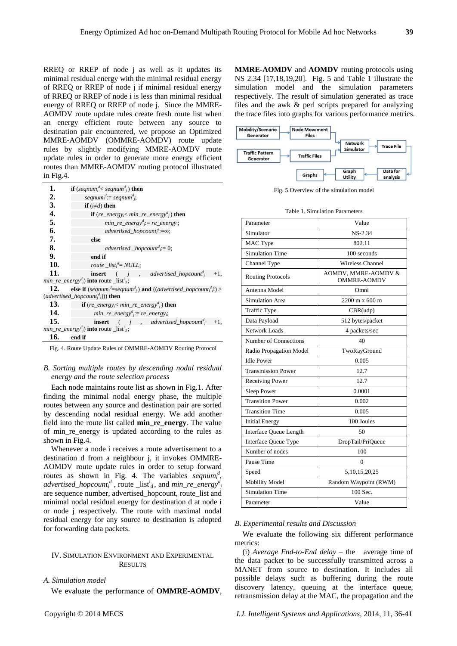RREQ or RREP of node j as well as it updates its minimal residual energy with the minimal residual energy of RREQ or RREP of node j if minimal residual energy of RREQ or RREP of node i is less than minimal residual energy of RREQ or RREP of node j. Since the MMRE-AOMDV route update rules create fresh route list when an energy efficient route between any source to destination pair encountered, we propose an Optimized MMRE-AOMDV (OMMRE-AOMDV) route update rules by slightly modifying MMRE-AOMDV route update rules in order to generate more energy efficient routes than MMRE-AOMDV routing protocol illustrated in Fig.4.

| 1.                                                                                                                                   | <b>if</b> (seqnum <sup>d</sup> < seqnum <sup>d</sup> <sub>j</sub> ) <b>then</b>            |  |  |  |
|--------------------------------------------------------------------------------------------------------------------------------------|--------------------------------------------------------------------------------------------|--|--|--|
| 2.                                                                                                                                   | seqnum $i :=$ seqnum <sup>d</sup> <sub>i</sub> ;                                           |  |  |  |
| 3.                                                                                                                                   | if $(i \neq d)$ then                                                                       |  |  |  |
| 4.                                                                                                                                   | <b>if</b> (re_energy <sub>i</sub> < min_re_energy <sup>d</sup> <sub>i</sub> ) <b>then</b>  |  |  |  |
| 5.                                                                                                                                   | min re energy <sup>d</sup> i = re energyi;                                                 |  |  |  |
| 6.                                                                                                                                   | advertised_hopcount;"= $\infty$ ;                                                          |  |  |  |
| 7.                                                                                                                                   | else                                                                                       |  |  |  |
| 8.                                                                                                                                   | advertised hopcount <sup>a</sup> <sub>i</sub> := 0;                                        |  |  |  |
| 9.                                                                                                                                   | end if                                                                                     |  |  |  |
| 10.                                                                                                                                  | route $list_i^d = NULL$ ;                                                                  |  |  |  |
| 11.                                                                                                                                  | <b>insert</b> ( <i>i</i> , <i>advertised hopcount</i> <sup>4</sup> <sub><i>i</i></sub> +1, |  |  |  |
| <i>min_re_energy<sup>d</sup><sub>i</sub></i> ) <b>into</b> route _list <sup>i</sup> <sub>d</sub> ;                                   |                                                                                            |  |  |  |
| 12.<br><b>else if</b> (seqnum <sup>d-seqnum<sup>d</sup><sub>i</sub>) and ((advertised_hopcount<sup>d</sup><sub>i</sub>,i) &gt;</sup> |                                                                                            |  |  |  |
| (advertised_hopcount; <sup>d</sup> ,j)) <b>then</b>                                                                                  |                                                                                            |  |  |  |
| 13.                                                                                                                                  | <b>if</b> (re_energy <sub>i</sub> < min_re_energy <sup>d</sup> <sub>i</sub> ) <b>then</b>  |  |  |  |
| 14.                                                                                                                                  | $min\_re\_energy^d$ ; = re_energy;                                                         |  |  |  |
| 15.                                                                                                                                  | <b>insert</b> ( <i>i</i> , <i>advertised_hopcount<sup>a</sup><sub>i</sub></i> +1,          |  |  |  |
| <i>min_re_energy<sup>d</sup><sub>i</sub></i> ) <b>into</b> route _list <sup>i</sup> <sub>d</sub> ;                                   |                                                                                            |  |  |  |
| 16.                                                                                                                                  | end if                                                                                     |  |  |  |

Fig. 4. Route Update Rules of OMMRE-AOMDV Routing Protocol

## *B. Sorting multiple routes by descending nodal residual energy and the route selection process*

Each node maintains route list as shown in Fig.1. After finding the minimal nodal energy phase, the multiple routes between any source and destination pair are sorted by descending nodal residual energy. We add another field into the route list called **min\_re\_energy**. The value of min\_re\_energy is updated according to the rules as shown in Fig.4.

Whenever a node i receives a route advertisement to a destination d from a neighbour j, it invokes OMMRE-AOMDV route update rules in order to setup forward routes as shown in Fig. 4. The variables  $\text{seqnum}_i^d$ ,  $advertised\_hopcount_i^d$ , route  $\_\$ {list\_i^d}, and  $min\_re\_energy_j^d$ are sequence number, advertised\_hopcount, route\_list and minimal nodal residual energy for destination d at node i or node j respectively. The route with maximal nodal residual energy for any source to destination is adopted for forwarding data packets.

#### IV. SIMULATION ENVIRONMENT AND EXPERIMENTAL **RESULTS**

*A. Simulation model*

We evaluate the performance of **OMMRE-AOMDV**,

**MMRE-AOMDV** and **AOMDV** routing protocols using NS 2.34 [17,18,19,20]. Fig. 5 and Table 1 illustrate the simulation model and the simulation parameters respectively. The result of simulation generated as trace files and the awk & perl scripts prepared for analyzing the trace files into graphs for various performance metrics.



Fig. 5 Overview of the simulation model

| Parameter                     | Value                                     |
|-------------------------------|-------------------------------------------|
| Simulator                     | NS-2.34                                   |
| MAC Type                      | 802.11                                    |
| <b>Simulation Time</b>        | 100 seconds                               |
| Channel Type                  | Wireless Channel                          |
| <b>Routing Protocols</b>      | AOMDV, MMRE-AOMDV &<br><b>OMMRE-AOMDV</b> |
| Antenna Model                 | Omni                                      |
| <b>Simulation Area</b>        | $2200 \text{ m} \times 600 \text{ m}$     |
| <b>Traffic Type</b>           | CBR(udp)                                  |
| Data Payload                  | 512 bytes/packet                          |
| <b>Network Loads</b>          | 4 packets/sec                             |
| Number of Connections         | 40                                        |
| Radio Propagation Model       | TwoRayGround                              |
| <b>Idle Power</b>             | 0.005                                     |
| <b>Transmission Power</b>     | 12.7                                      |
| Receiving Power               | 12.7                                      |
| Sleep Power                   | 0.0001                                    |
| <b>Transition Power</b>       | 0.002                                     |
| <b>Transition Time</b>        | 0.005                                     |
| <b>Initial Energy</b>         | 100 Joules                                |
| <b>Interface Queue Length</b> | 50                                        |
| Interface Queue Type          | DropTail/PriQueue                         |
| Number of nodes               | 100                                       |
| Pause Time                    | $\Omega$                                  |
| Speed                         | 5, 10, 15, 20, 25                         |
| <b>Mobility Model</b>         | Random Waypoint (RWM)                     |
| <b>Simulation Time</b>        | 100 Sec.                                  |
| Parameter                     | Value                                     |

## Table 1. Simulation Parameters

### *B. Experimental results and Discussion*

We evaluate the following six different performance metrics:

(i) *Average End-to-End delay* – the average time of the data packet to be successfully transmitted across a MANET from source to destination. It includes all possible delays such as buffering during the route discovery latency, queuing at the interface queue, retransmission delay at the MAC, the propagation and the

Copyright © 2014 MECS *I.J. Intelligent Systems and Applications,* 2014, 11, 36-41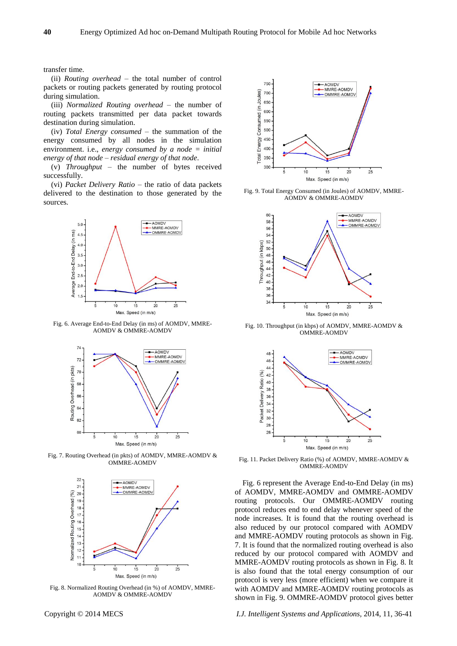transfer time.

(ii) *Routing overhead* – the total number of control packets or routing packets generated by routing protocol during simulation.

(iii) *Normalized Routing overhead* – the number of routing packets transmitted per data packet towards destination during simulation.

(iv) *Total Energy consumed* – the summation of the energy consumed by all nodes in the simulation environment. i.e., *energy consumed by a node = initial energy of that node – residual energy of that node*.

(v) *Throughput* – the number of bytes received successfully.

(vi) *Packet Delivery Ratio* – the ratio of data packets delivered to the destination to those generated by the sources.



Fig. 6. Average End-to-End Delay (in ms) of AOMDV, MMRE-AOMDV & OMMRE-AOMDV



Fig. 7. Routing Overhead (in pkts) of AOMDV, MMRE-AOMDV & OMMRE-AOMDV



Fig. 8. Normalized Routing Overhead (in %) of AOMDV, MMRE-AOMDV & OMMRE-AOMDV



Fig. 9. Total Energy Consumed (in Joules) of AOMDV, MMRE-AOMDV & OMMRE-AOMDV



Fig. 10. Throughput (in kbps) of AOMDV, MMRE-AOMDV & OMMRE-AOMDV



Fig. 11. Packet Delivery Ratio (%) of AOMDV, MMRE-AOMDV & OMMRE-AOMDV

Fig. 6 represent the Average End-to-End Delay (in ms) of AOMDV, MMRE-AOMDV and OMMRE-AOMDV routing protocols. Our OMMRE-AOMDV routing protocol reduces end to end delay whenever speed of the node increases. It is found that the routing overhead is also reduced by our protocol compared with AOMDV and MMRE-AOMDV routing protocols as shown in Fig. 7. It is found that the normalized routing overhead is also reduced by our protocol compared with AOMDV and MMRE-AOMDV routing protocols as shown in Fig. 8. It is also found that the total energy consumption of our protocol is very less (more efficient) when we compare it with AOMDV and MMRE-AOMDV routing protocols as shown in Fig. 9. OMMRE-AOMDV protocol gives better

Copyright © 2014 MECS *I.J. Intelligent Systems and Applications,* 2014, 11, 36-41